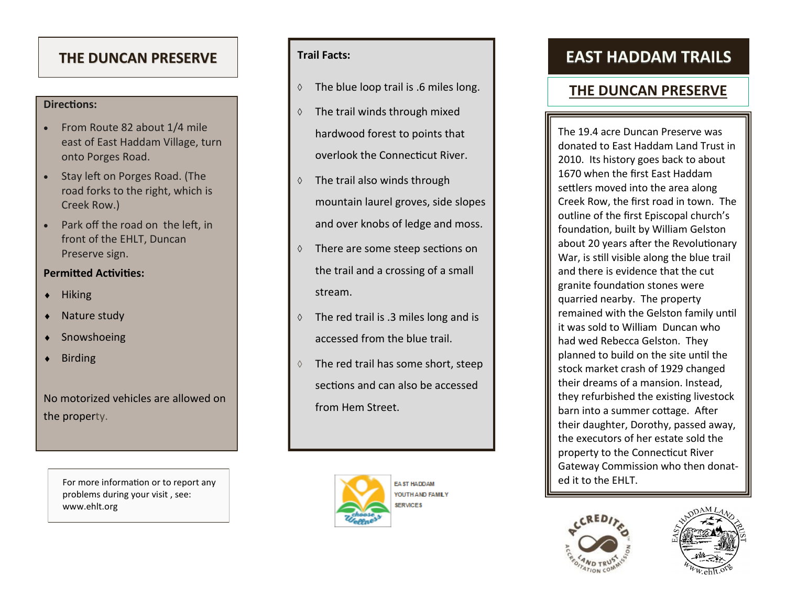### **Directions:**

- From Route 82 about 1/4 mile east of East Haddam Village, turn onto Porges Road.
- Stay left on Porges Road. (The road forks to the right, which is Creek Row.)
- Park off the road on the left, in front of the EHLT, Duncan Preserve sign.

## **Permitted Activities:**

- $\bullet$  Hiking
- Nature study
- Snowshoeing
- Birding

No motorized vehicles are allowed on the property.

> For more information or to report any  $\blacksquare$ problems during your visit , see: www.ehlt.org

## **Trail Facts:**

- $\Diamond$  The blue loop trail is .6 miles long.
- $\Diamond$  The trail winds through mixed hardwood forest to points that overlook the Connecticut River.
- $\Diamond$  The trail also winds through mountain laurel groves, side slopes and over knobs of ledge and moss.
- There are some steep sections on the trail and a crossing of a small stream.
- $\Diamond$  The red trail is .3 miles long and is accessed from the blue trail.
- $\Diamond$  The red trail has some short, steep sections and can also be accessed from Hem Street.



# THE DUNCAN PRESERVE **Trail Facts:** The **EAST HADDAM TRAILS**

# **THE DUNCAN PRESERVE**

The 19.4 acre Duncan Preserve was donated to East Haddam Land Trust in 2010. Its history goes back to about 1670 when the first East Haddam settlers moved into the area along Creek Row, the first road in town. The outline of the first Episcopal church 's foundation, built by William Gelston about 20 years after the Revolutionary War, is still visible along the blue trail and there is evidence that the cut granite foundation stones were quarried nearby. The property remained with the Gelston family until it was sold to William Duncan who had wed Rebecca Gelston. They planned to build on the site until the stock market crash of 1929 changed their dreams of a mansion. Instead, they refurbished the existing livestock barn into a summer cottage. After their daughter, Dorothy, passed away, the executors of her estate sold the property to the Connecticut River Gateway Commission who then donat-